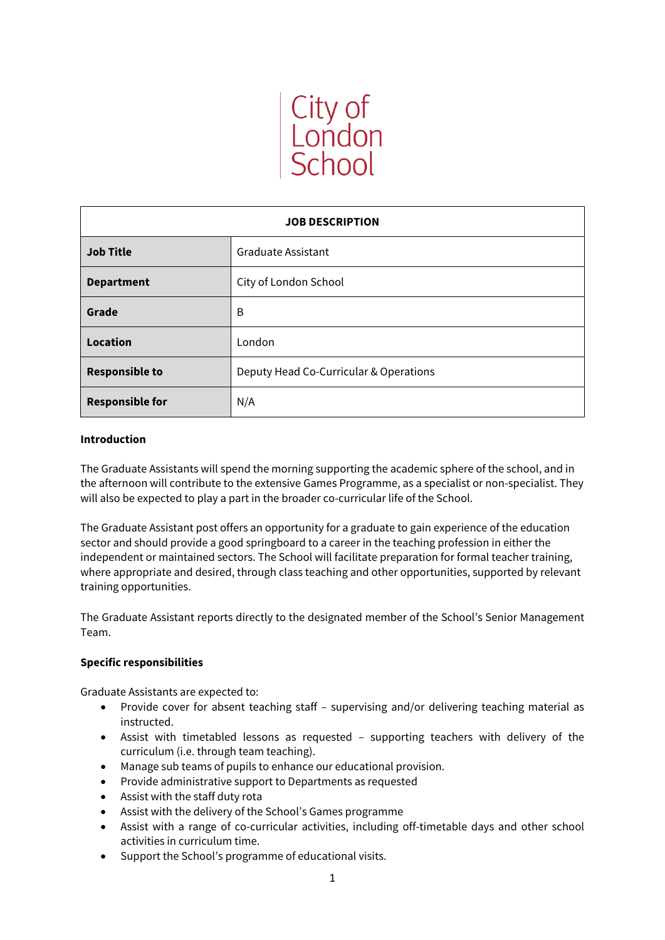

| <b>JOB DESCRIPTION</b> |                                        |
|------------------------|----------------------------------------|
| <b>Job Title</b>       | Graduate Assistant                     |
| <b>Department</b>      | City of London School                  |
| Grade                  | B                                      |
| <b>Location</b>        | London                                 |
| <b>Responsible to</b>  | Deputy Head Co-Curricular & Operations |
| <b>Responsible for</b> | N/A                                    |

# **Introduction**

The Graduate Assistants will spend the morning supporting the academic sphere of the school, and in the afternoon will contribute to the extensive Games Programme, as a specialist or non-specialist. They will also be expected to play a part in the broader co-curricular life of the School.

The Graduate Assistant post offers an opportunity for a graduate to gain experience of the education sector and should provide a good springboard to a career in the teaching profession in either the independent or maintained sectors. The School will facilitate preparation for formal teacher training, where appropriate and desired, through class teaching and other opportunities, supported by relevant training opportunities.

The Graduate Assistant reports directly to the designated member of the School's Senior Management Team.

# **Specific responsibilities**

Graduate Assistants are expected to:

- Provide cover for absent teaching staff supervising and/or delivering teaching material as instructed.
- Assist with timetabled lessons as requested supporting teachers with delivery of the curriculum (i.e. through team teaching).
- Manage sub teams of pupils to enhance our educational provision.
- Provide administrative support to Departments as requested
- Assist with the staff duty rota
- Assist with the delivery of the School's Games programme
- Assist with a range of co-curricular activities, including off-timetable days and other school activities in curriculum time.
- Support the School's programme of educational visits.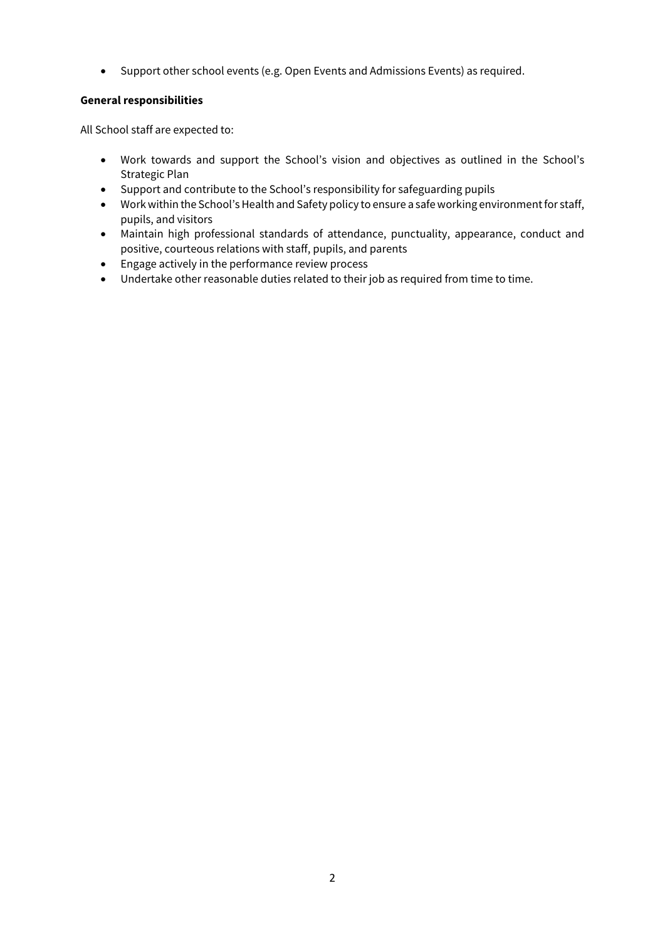• Support other school events (e.g. Open Events and Admissions Events) as required.

# **General responsibilities**

All School staff are expected to:

- Work towards and support the School's vision and objectives as outlined in the School's Strategic Plan
- Support and contribute to the School's responsibility for safeguarding pupils
- Work within the School's Health and Safety policy to ensure a safe working environment for staff, pupils, and visitors
- Maintain high professional standards of attendance, punctuality, appearance, conduct and positive, courteous relations with staff, pupils, and parents
- Engage actively in the performance review process
- Undertake other reasonable duties related to their job as required from time to time.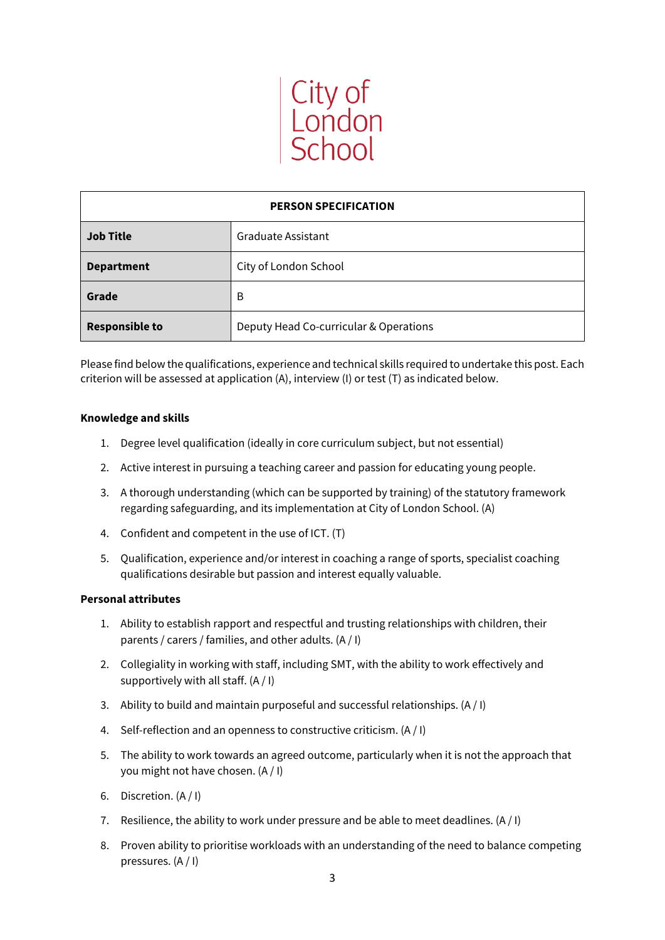

| <b>PERSON SPECIFICATION</b> |                                        |
|-----------------------------|----------------------------------------|
| <b>Job Title</b>            | Graduate Assistant                     |
| <b>Department</b>           | City of London School                  |
| Grade                       | B                                      |
| <b>Responsible to</b>       | Deputy Head Co-curricular & Operations |

Please find below the qualifications, experience and technical skills required to undertake this post. Each criterion will be assessed at application (A), interview (I) or test (T) as indicated below.

# **Knowledge and skills**

- 1. Degree level qualification (ideally in core curriculum subject, but not essential)
- 2. Active interest in pursuing a teaching career and passion for educating young people.
- 3. A thorough understanding (which can be supported by training) of the statutory framework regarding safeguarding, and its implementation at City of London School. (A)
- 4. Confident and competent in the use of ICT. (T)
- 5. Qualification, experience and/or interest in coaching a range of sports, specialist coaching qualifications desirable but passion and interest equally valuable.

### **Personal attributes**

- 1. Ability to establish rapport and respectful and trusting relationships with children, their parents / carers / families, and other adults. (A / I)
- 2. Collegiality in working with staff, including SMT, with the ability to work effectively and supportively with all staff.  $(A / I)$
- 3. Ability to build and maintain purposeful and successful relationships. (A / I)
- 4. Self-reflection and an openness to constructive criticism. (A / I)
- 5. The ability to work towards an agreed outcome, particularly when it is not the approach that you might not have chosen. (A / I)
- 6. Discretion. (A / I)
- 7. Resilience, the ability to work under pressure and be able to meet deadlines.  $(A / I)$
- 8. Proven ability to prioritise workloads with an understanding of the need to balance competing pressures. (A / I)